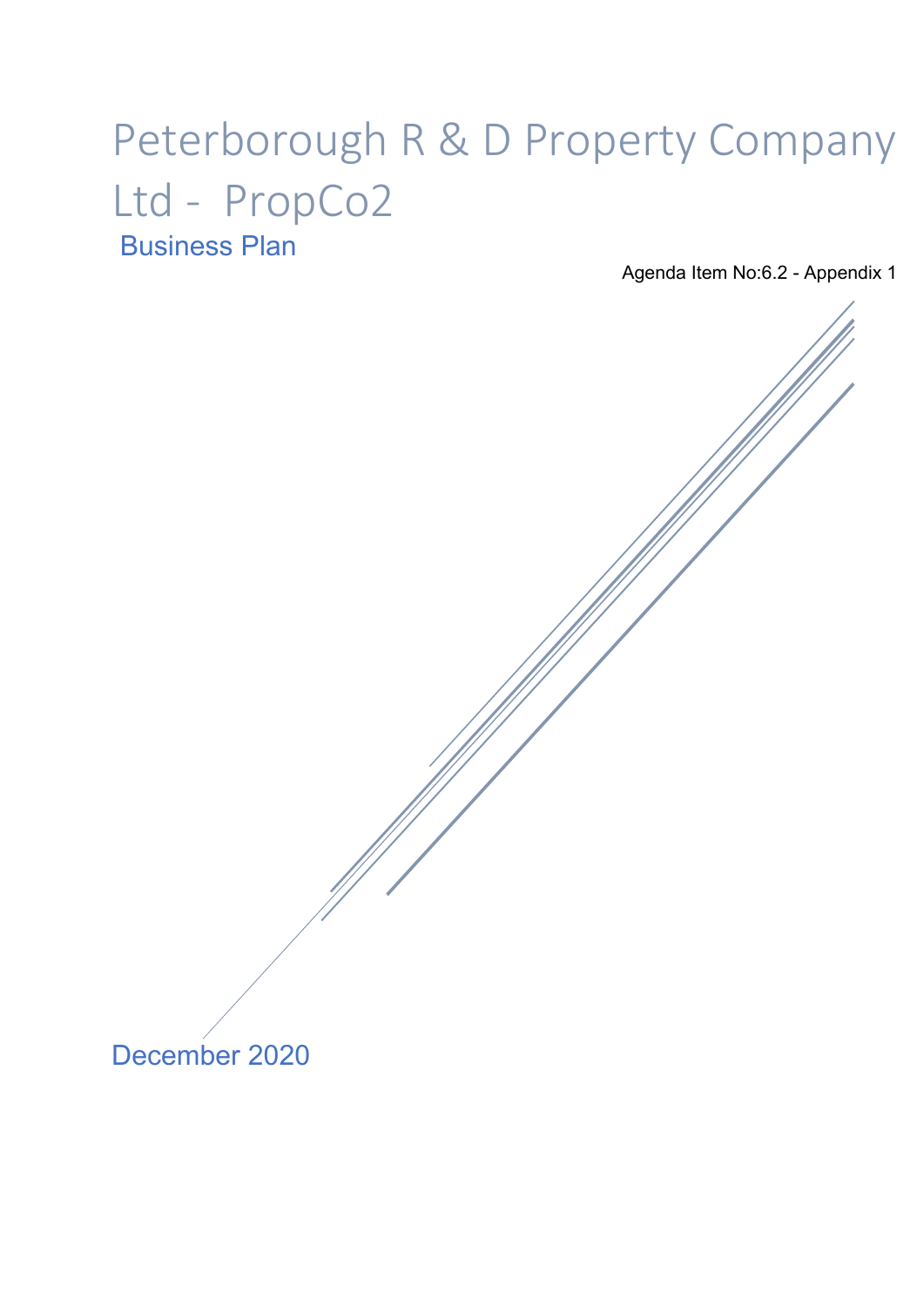# Peterborough R & D Property Company Ltd - PropCo2 Business Plan

Agenda Item No:6.2 - Appendix 1

December 2020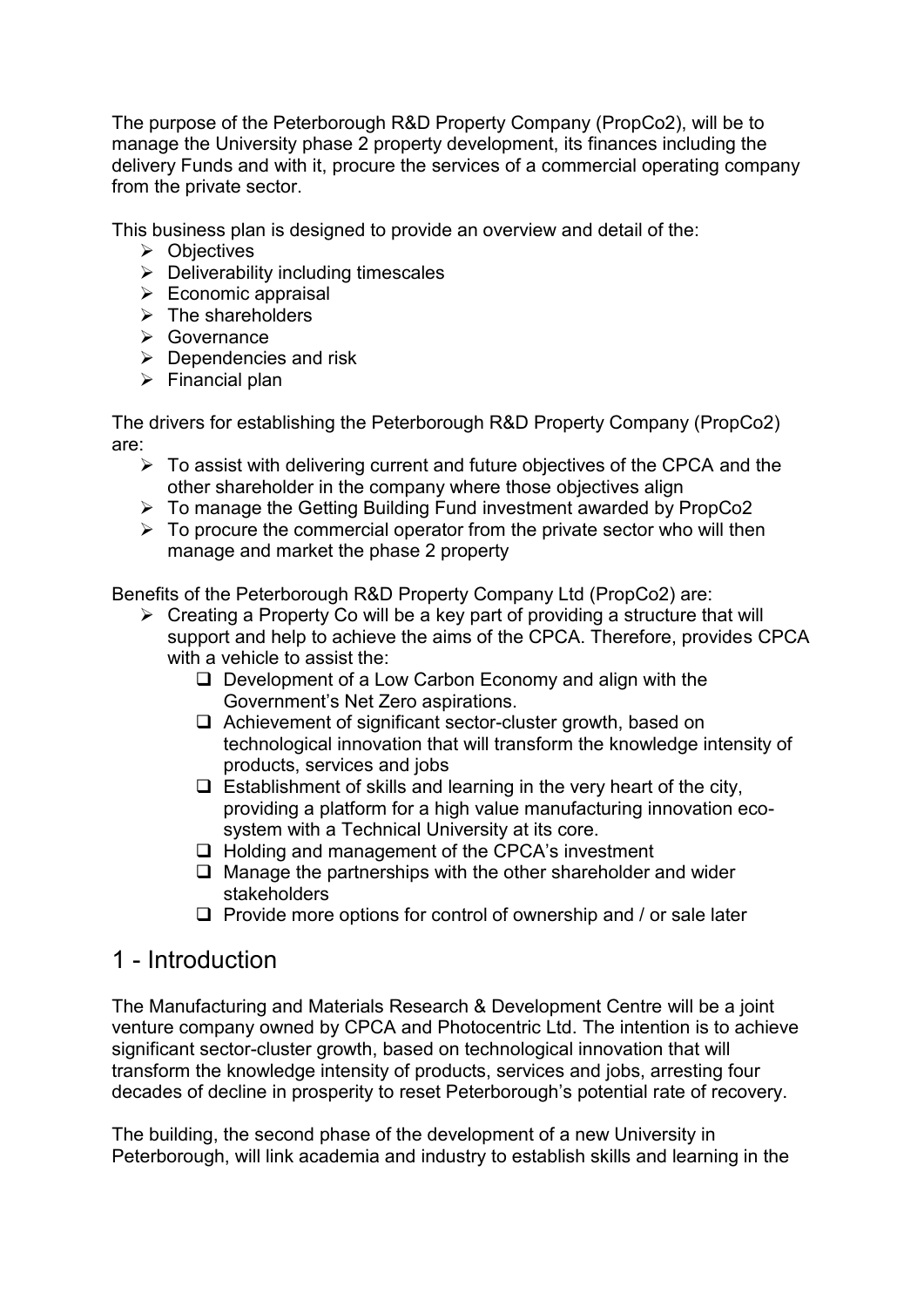The purpose of the Peterborough R&D Property Company (PropCo2), will be to manage the University phase 2 property development, its finances including the delivery Funds and with it, procure the services of a commercial operating company from the private sector.

This business plan is designed to provide an overview and detail of the:

- $\triangleright$  Objectives
- $\triangleright$  Deliverability including timescales
- $\triangleright$  Economic appraisal
- $\triangleright$  The shareholders
- Governance
- $\triangleright$  Dependencies and risk
- $\triangleright$  Financial plan

The drivers for establishing the Peterborough R&D Property Company (PropCo2) are:

- $\triangleright$  To assist with delivering current and future objectives of the CPCA and the other shareholder in the company where those objectives align
- To manage the Getting Building Fund investment awarded by PropCo2
- $\triangleright$  To procure the commercial operator from the private sector who will then manage and market the phase 2 property

Benefits of the Peterborough R&D Property Company Ltd (PropCo2) are:

- $\triangleright$  Creating a Property Co will be a key part of providing a structure that will support and help to achieve the aims of the CPCA. Therefore, provides CPCA with a vehicle to assist the:
	- $\Box$  Development of a Low Carbon Economy and align with the Government's Net Zero aspirations.
	- $\Box$  Achievement of significant sector-cluster growth, based on technological innovation that will transform the knowledge intensity of products, services and jobs
	- $\Box$  Establishment of skills and learning in the very heart of the city, providing a platform for a high value manufacturing innovation ecosystem with a Technical University at its core.
	- $\Box$  Holding and management of the CPCA's investment
	- $\Box$  Manage the partnerships with the other shareholder and wider stakeholders
	- $\Box$  Provide more options for control of ownership and / or sale later

### 1 - Introduction

The Manufacturing and Materials Research & Development Centre will be a joint venture company owned by CPCA and Photocentric Ltd. The intention is to achieve significant sector-cluster growth, based on technological innovation that will transform the knowledge intensity of products, services and jobs, arresting four decades of decline in prosperity to reset Peterborough's potential rate of recovery.

The building, the second phase of the development of a new University in Peterborough, will link academia and industry to establish skills and learning in the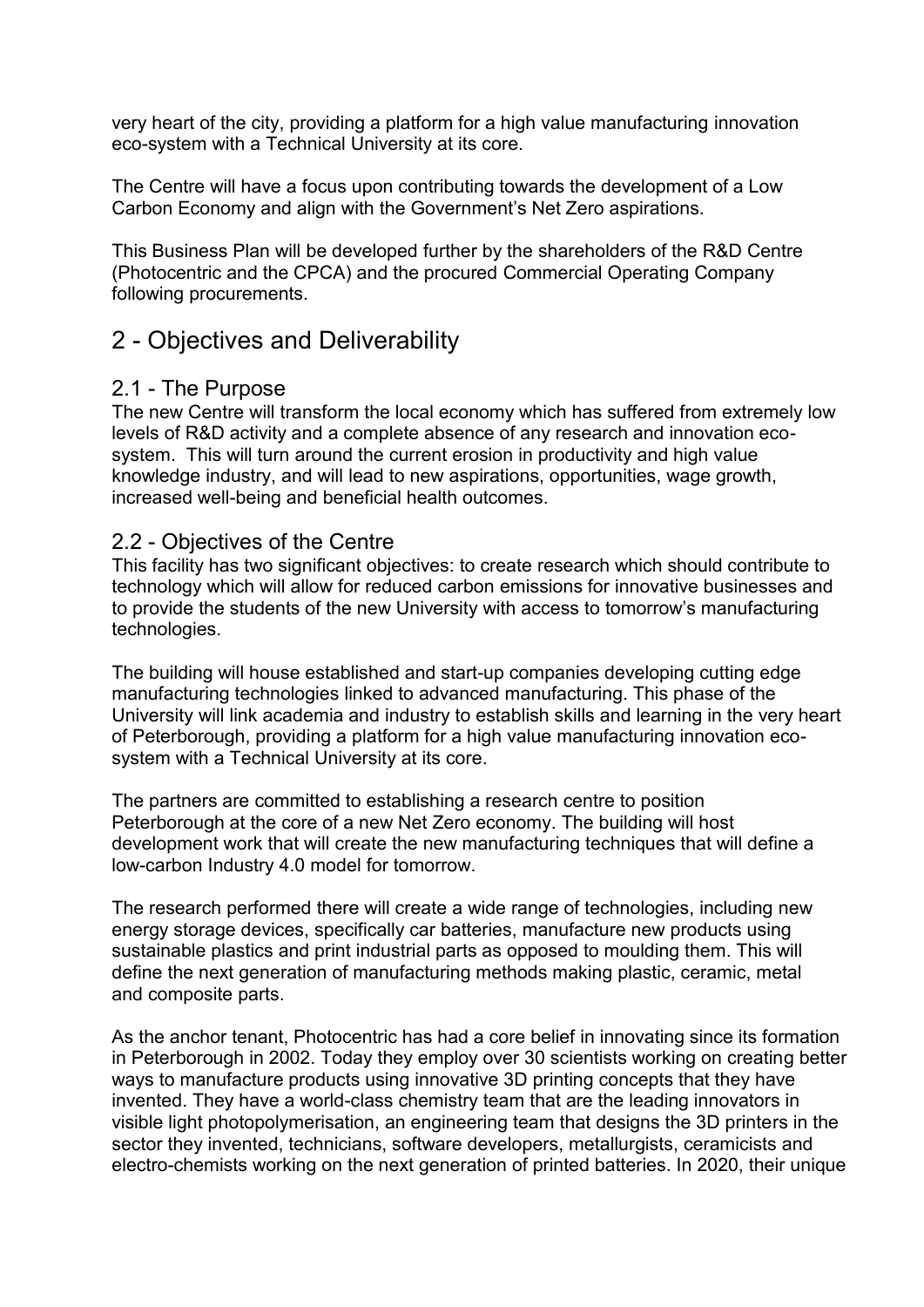very heart of the city, providing a platform for a high value manufacturing innovation eco-system with a Technical University at its core.

The Centre will have a focus upon contributing towards the development of a Low Carbon Economy and align with the Government's Net Zero aspirations.

This Business Plan will be developed further by the shareholders of the R&D Centre (Photocentric and the CPCA) and the procured Commercial Operating Company following procurements.

## 2 - Objectives and Deliverability

### 2.1 - The Purpose

The new Centre will transform the local economy which has suffered from extremely low levels of R&D activity and a complete absence of any research and innovation ecosystem. This will turn around the current erosion in productivity and high value knowledge industry, and will lead to new aspirations, opportunities, wage growth, increased well-being and beneficial health outcomes.

### 2.2 - Objectives of the Centre

This facility has two significant objectives: to create research which should contribute to technology which will allow for reduced carbon emissions for innovative businesses and to provide the students of the new University with access to tomorrow's manufacturing technologies.

The building will house established and start-up companies developing cutting edge manufacturing technologies linked to advanced manufacturing. This phase of the University will link academia and industry to establish skills and learning in the very heart of Peterborough, providing a platform for a high value manufacturing innovation ecosystem with a Technical University at its core.

The partners are committed to establishing a research centre to position Peterborough at the core of a new Net Zero economy. The building will host development work that will create the new manufacturing techniques that will define a low-carbon Industry 4.0 model for tomorrow.

The research performed there will create a wide range of technologies, including new energy storage devices, specifically car batteries, manufacture new products using sustainable plastics and print industrial parts as opposed to moulding them. This will define the next generation of manufacturing methods making plastic, ceramic, metal and composite parts.

As the anchor tenant, Photocentric has had a core belief in innovating since its formation in Peterborough in 2002. Today they employ over 30 scientists working on creating better ways to manufacture products using innovative 3D printing concepts that they have invented. They have a world-class chemistry team that are the leading innovators in visible light photopolymerisation, an engineering team that designs the 3D printers in the sector they invented, technicians, software developers, metallurgists, ceramicists and electro-chemists working on the next generation of printed batteries. In 2020, their unique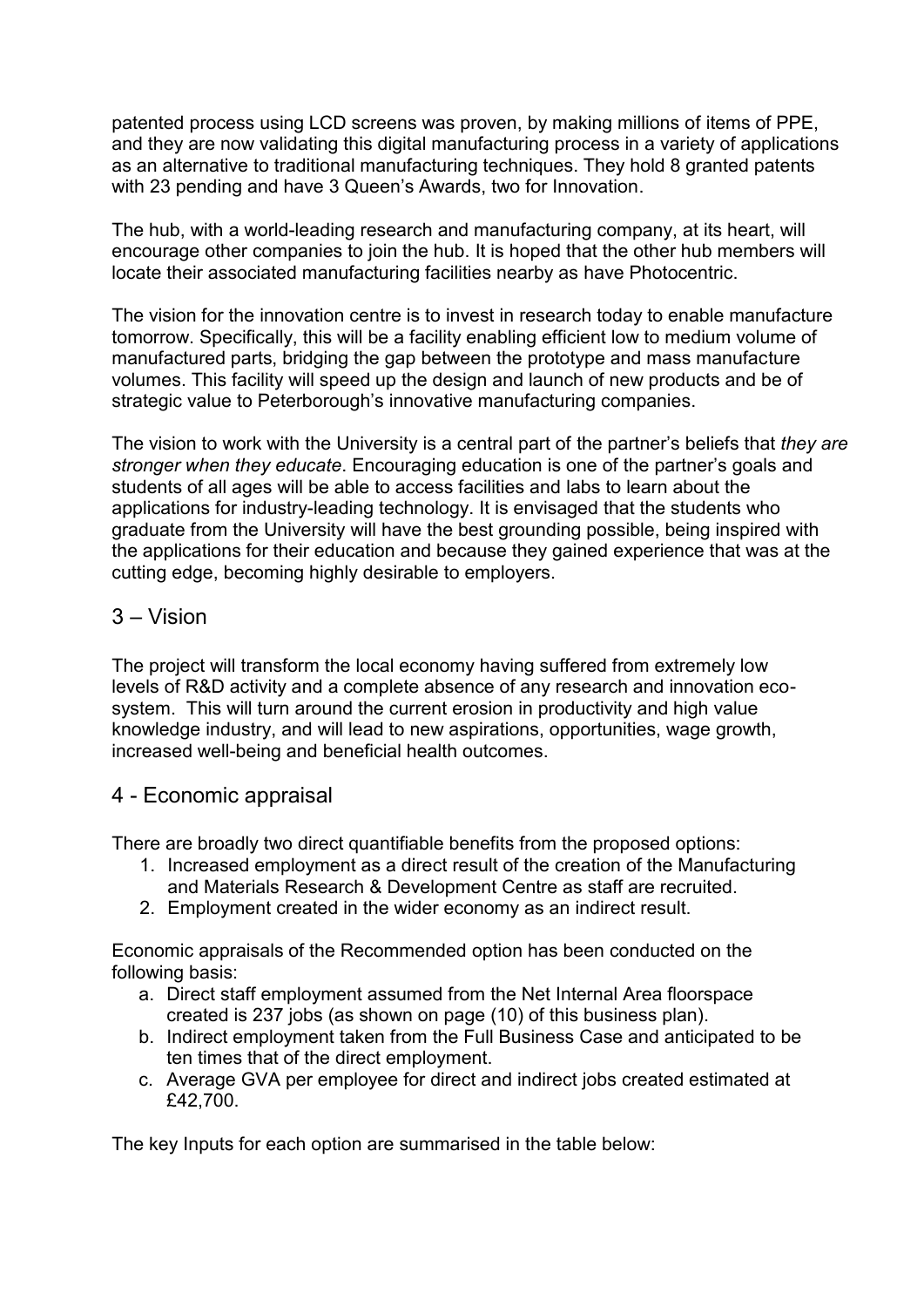patented process using LCD screens was proven, by making millions of items of PPE, and they are now validating this digital manufacturing process in a variety of applications as an alternative to traditional manufacturing techniques. They hold 8 granted patents with 23 pending and have 3 Queen's Awards, two for Innovation.

The hub, with a world-leading research and manufacturing company, at its heart, will encourage other companies to join the hub. It is hoped that the other hub members will locate their associated manufacturing facilities nearby as have Photocentric.

The vision for the innovation centre is to invest in research today to enable manufacture tomorrow. Specifically, this will be a facility enabling efficient low to medium volume of manufactured parts, bridging the gap between the prototype and mass manufacture volumes. This facility will speed up the design and launch of new products and be of strategic value to Peterborough's innovative manufacturing companies.

The vision to work with the University is a central part of the partner's beliefs that *they are stronger when they educate*. Encouraging education is one of the partner's goals and students of all ages will be able to access facilities and labs to learn about the applications for industry-leading technology. It is envisaged that the students who graduate from the University will have the best grounding possible, being inspired with the applications for their education and because they gained experience that was at the cutting edge, becoming highly desirable to employers.

### 3 – Vision

The project will transform the local economy having suffered from extremely low levels of R&D activity and a complete absence of any research and innovation ecosystem. This will turn around the current erosion in productivity and high value knowledge industry, and will lead to new aspirations, opportunities, wage growth, increased well-being and beneficial health outcomes.

### 4 - Economic appraisal

There are broadly two direct quantifiable benefits from the proposed options:

- 1. Increased employment as a direct result of the creation of the Manufacturing and Materials Research & Development Centre as staff are recruited.
- 2. Employment created in the wider economy as an indirect result.

Economic appraisals of the Recommended option has been conducted on the following basis:

- a. Direct staff employment assumed from the Net Internal Area floorspace created is 237 jobs (as shown on page (10) of this business plan).
- b. Indirect employment taken from the Full Business Case and anticipated to be ten times that of the direct employment.
- c. Average GVA per employee for direct and indirect jobs created estimated at £42,700.

The key Inputs for each option are summarised in the table below: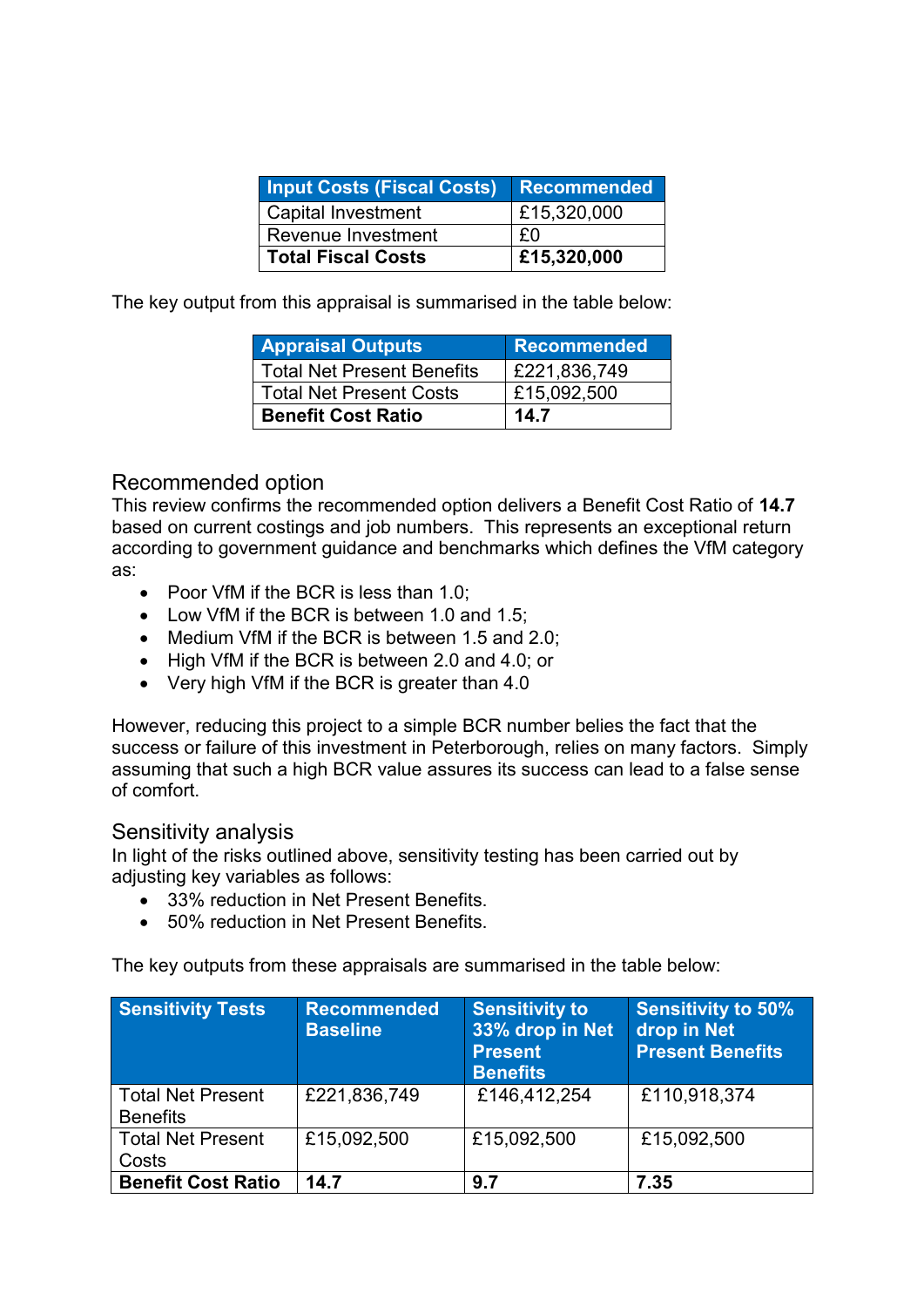| <b>Input Costs (Fiscal Costs)</b> | <b>Recommended</b> |
|-----------------------------------|--------------------|
| <b>Capital Investment</b>         | £15,320,000        |
| Revenue Investment                | - FN               |
| <b>Total Fiscal Costs</b>         | £15,320,000        |

The key output from this appraisal is summarised in the table below:

| <b>Appraisal Outputs</b>          | Recommended  |
|-----------------------------------|--------------|
| <b>Total Net Present Benefits</b> | £221,836,749 |
| <b>Total Net Present Costs</b>    | £15,092,500  |
| <b>Benefit Cost Ratio</b>         | 14.7         |

### Recommended option

This review confirms the recommended option delivers a Benefit Cost Ratio of **14.7** based on current costings and job numbers. This represents an exceptional return according to government guidance and benchmarks which defines the VfM category as:

- Poor VfM if the BCR is less than 1.0;
- Low VfM if the BCR is between 1.0 and 1.5:
- Medium VfM if the BCR is between 1.5 and 2.0:
- High VfM if the BCR is between 2.0 and 4.0; or
- Very high VfM if the BCR is greater than 4.0

However, reducing this project to a simple BCR number belies the fact that the success or failure of this investment in Peterborough, relies on many factors. Simply assuming that such a high BCR value assures its success can lead to a false sense of comfort.

#### Sensitivity analysis

In light of the risks outlined above, sensitivity testing has been carried out by adjusting key variables as follows:

- 33% reduction in Net Present Benefits.
- 50% reduction in Net Present Benefits.

The key outputs from these appraisals are summarised in the table below:

| <b>Sensitivity Tests</b>                    | <b>Recommended</b><br><b>Baseline</b> | <b>Sensitivity to</b><br>33% drop in Net<br><b>Present</b><br><b>Benefits</b> | <b>Sensitivity to 50%</b><br>drop in Net<br><b>Present Benefits</b> |
|---------------------------------------------|---------------------------------------|-------------------------------------------------------------------------------|---------------------------------------------------------------------|
| <b>Total Net Present</b><br><b>Benefits</b> | £221,836,749                          | £146,412,254                                                                  | £110,918,374                                                        |
| <b>Total Net Present</b><br>Costs           | £15,092,500                           | £15,092,500                                                                   | £15,092,500                                                         |
| <b>Benefit Cost Ratio</b>                   | 14.7                                  | 9.7                                                                           | 7.35                                                                |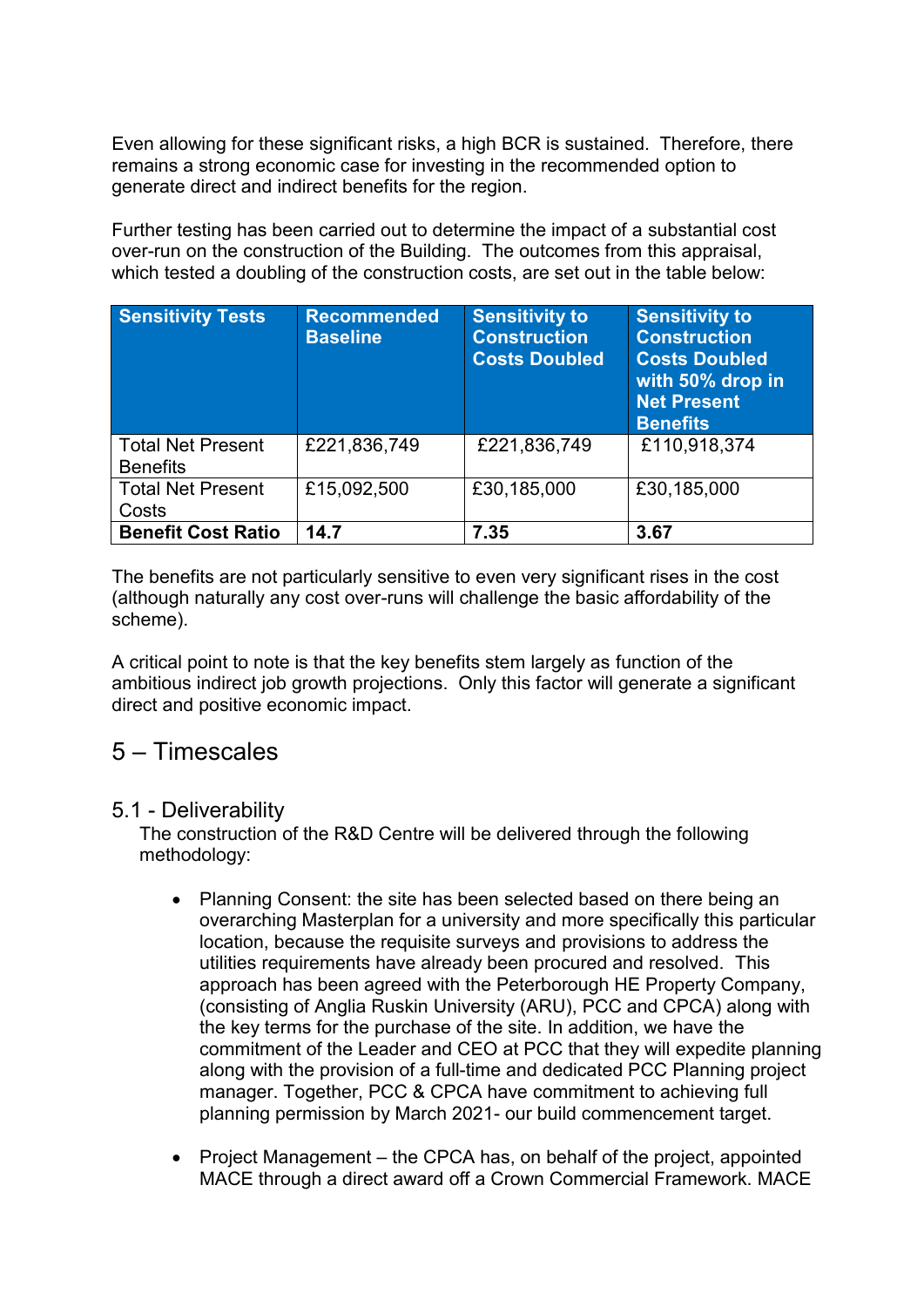Even allowing for these significant risks, a high BCR is sustained. Therefore, there remains a strong economic case for investing in the recommended option to generate direct and indirect benefits for the region.

Further testing has been carried out to determine the impact of a substantial cost over-run on the construction of the Building. The outcomes from this appraisal, which tested a doubling of the construction costs, are set out in the table below:

| <b>Sensitivity Tests</b>                    | <b>Recommended</b><br><b>Baseline</b> | <b>Sensitivity to</b><br><b>Construction</b><br><b>Costs Doubled</b> | <b>Sensitivity to</b><br><b>Construction</b><br><b>Costs Doubled</b><br>with 50% drop in<br><b>Net Present</b><br><b>Benefits</b> |
|---------------------------------------------|---------------------------------------|----------------------------------------------------------------------|-----------------------------------------------------------------------------------------------------------------------------------|
| <b>Total Net Present</b><br><b>Benefits</b> | £221,836,749                          | £221,836,749                                                         | £110,918,374                                                                                                                      |
| <b>Total Net Present</b><br>Costs           | £15,092,500                           | £30,185,000                                                          | £30,185,000                                                                                                                       |
| <b>Benefit Cost Ratio</b>                   | 14.7                                  | 7.35                                                                 | 3.67                                                                                                                              |

The benefits are not particularly sensitive to even very significant rises in the cost (although naturally any cost over-runs will challenge the basic affordability of the scheme).

A critical point to note is that the key benefits stem largely as function of the ambitious indirect job growth projections. Only this factor will generate a significant direct and positive economic impact.

### 5 – Timescales

### 5.1 - Deliverability

The construction of the R&D Centre will be delivered through the following methodology:

- Planning Consent: the site has been selected based on there being an overarching Masterplan for a university and more specifically this particular location, because the requisite surveys and provisions to address the utilities requirements have already been procured and resolved. This approach has been agreed with the Peterborough HE Property Company, (consisting of Anglia Ruskin University (ARU), PCC and CPCA) along with the key terms for the purchase of the site. In addition, we have the commitment of the Leader and CEO at PCC that they will expedite planning along with the provision of a full-time and dedicated PCC Planning project manager. Together, PCC & CPCA have commitment to achieving full planning permission by March 2021- our build commencement target.
- Project Management the CPCA has, on behalf of the project, appointed MACE through a direct award off a Crown Commercial Framework. MACE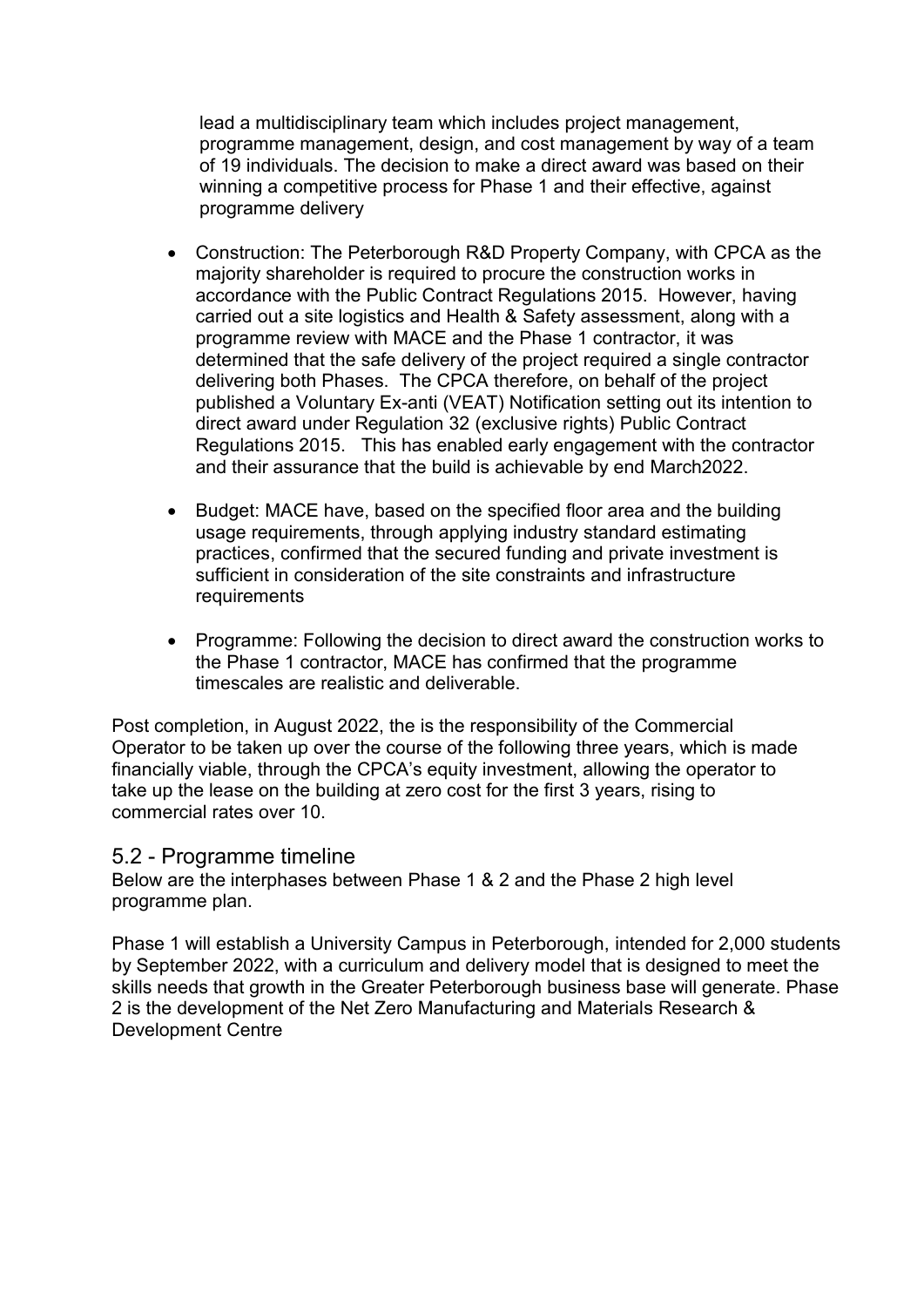lead a multidisciplinary team which includes project management, programme management, design, and cost management by way of a team of 19 individuals. The decision to make a direct award was based on their winning a competitive process for Phase 1 and their effective, against programme delivery

- Construction: The Peterborough R&D Property Company, with CPCA as the majority shareholder is required to procure the construction works in accordance with the Public Contract Regulations 2015. However, having carried out a site logistics and Health & Safety assessment, along with a programme review with MACE and the Phase 1 contractor, it was determined that the safe delivery of the project required a single contractor delivering both Phases. The CPCA therefore, on behalf of the project published a Voluntary Ex-anti (VEAT) Notification setting out its intention to direct award under Regulation 32 (exclusive rights) Public Contract Regulations 2015. This has enabled early engagement with the contractor and their assurance that the build is achievable by end March2022.
- Budget: MACE have, based on the specified floor area and the building usage requirements, through applying industry standard estimating practices, confirmed that the secured funding and private investment is sufficient in consideration of the site constraints and infrastructure requirements
- Programme: Following the decision to direct award the construction works to the Phase 1 contractor, MACE has confirmed that the programme timescales are realistic and deliverable.

Post completion, in August 2022, the is the responsibility of the Commercial Operator to be taken up over the course of the following three years, which is made financially viable, through the CPCA's equity investment, allowing the operator to take up the lease on the building at zero cost for the first 3 years, rising to commercial rates over 10.

### 5.2 - Programme timeline

Below are the interphases between Phase 1 & 2 and the Phase 2 high level programme plan.

Phase 1 will establish a University Campus in Peterborough, intended for 2,000 students by September 2022, with a curriculum and delivery model that is designed to meet the skills needs that growth in the Greater Peterborough business base will generate. Phase 2 is the development of the Net Zero Manufacturing and Materials Research & Development Centre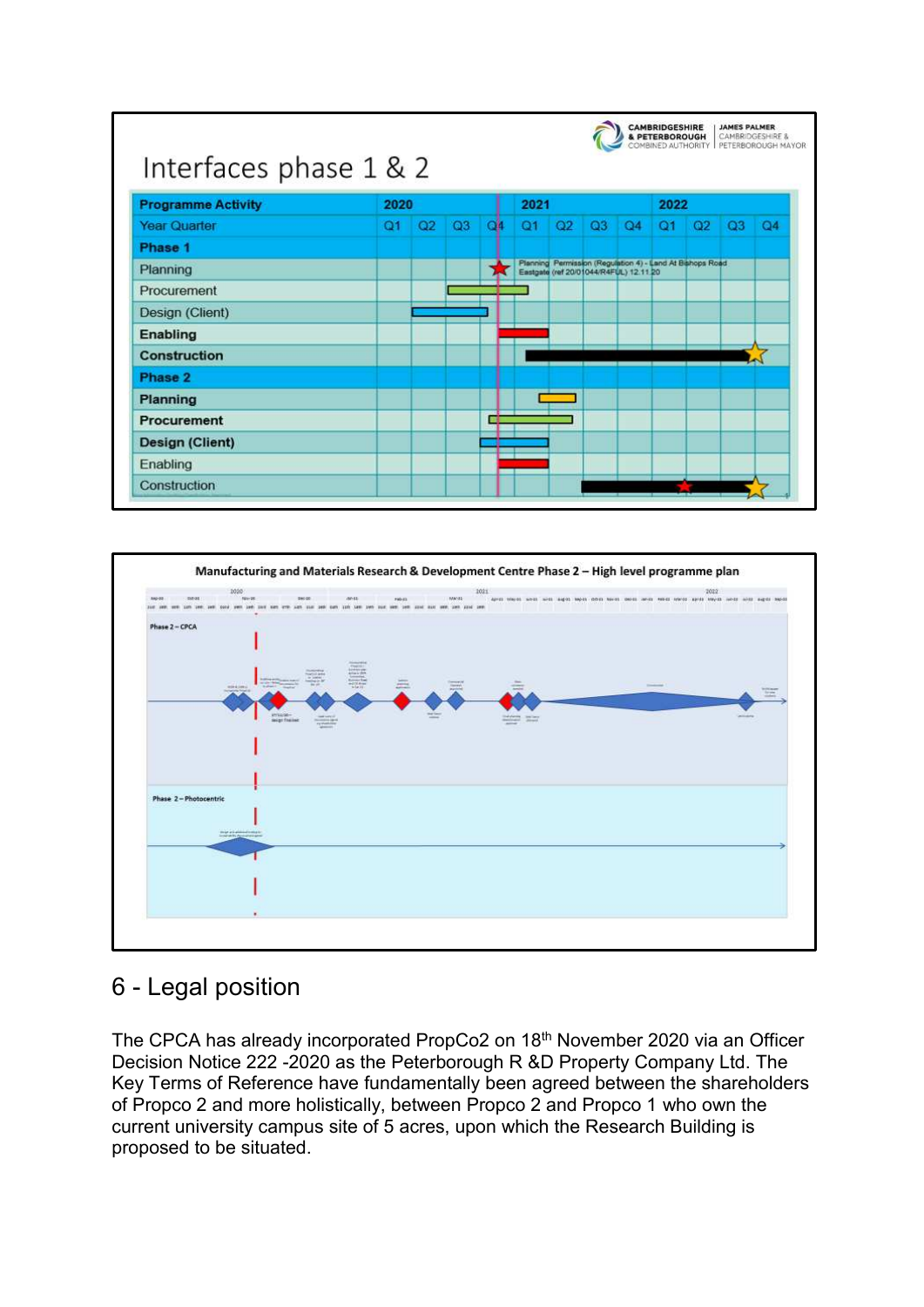| <b>Programme Activity</b> | 2020           |    |    |    | 2021           |    |    |                                                                                                     | 2022 |    |                |                |
|---------------------------|----------------|----|----|----|----------------|----|----|-----------------------------------------------------------------------------------------------------|------|----|----------------|----------------|
| <b>Year Quarter</b>       | Q <sub>1</sub> | Q2 | Q3 | ОM | O <sub>1</sub> | Q2 | Q3 | Q4                                                                                                  | Q1   | Q2 | Q <sub>3</sub> | Q <sub>4</sub> |
| Phase 1                   |                |    |    |    |                |    |    |                                                                                                     |      |    |                |                |
| Planning                  |                |    |    |    |                |    |    | Planning Permission (Regulation 4) - Land At Bishops Road<br>Eastgate (ref 20/01044/R4FUL) 12.11.20 |      |    |                |                |
| Procurement               |                |    |    |    |                |    |    |                                                                                                     |      |    |                |                |
| Design (Client)           |                |    |    |    |                |    |    |                                                                                                     |      |    |                |                |
| Enabling                  |                |    |    |    |                |    |    |                                                                                                     |      |    |                |                |
| <b>Construction</b>       |                |    |    |    |                |    |    |                                                                                                     |      |    |                |                |
| Phase 2                   |                |    |    |    |                |    |    |                                                                                                     |      |    |                |                |
| Planning                  |                |    |    |    |                |    |    |                                                                                                     |      |    |                |                |
| <b>Procurement</b>        |                |    |    |    |                |    |    |                                                                                                     |      |    |                |                |
| <b>Design (Client)</b>    |                |    |    |    |                |    |    |                                                                                                     |      |    |                |                |
| Enabling                  |                |    |    |    |                |    |    |                                                                                                     |      |    |                |                |
| Construction              |                |    |    |    |                |    |    |                                                                                                     |      |    |                |                |



# 6 - Legal position

The CPCA has already incorporated PropCo2 on 18<sup>th</sup> November 2020 via an Officer Decision Notice 222 -2020 as the Peterborough R &D Property Company Ltd. The Key Terms of Reference have fundamentally been agreed between the shareholders of Propco 2 and more holistically, between Propco 2 and Propco 1 who own the current university campus site of 5 acres, upon which the Research Building is proposed to be situated.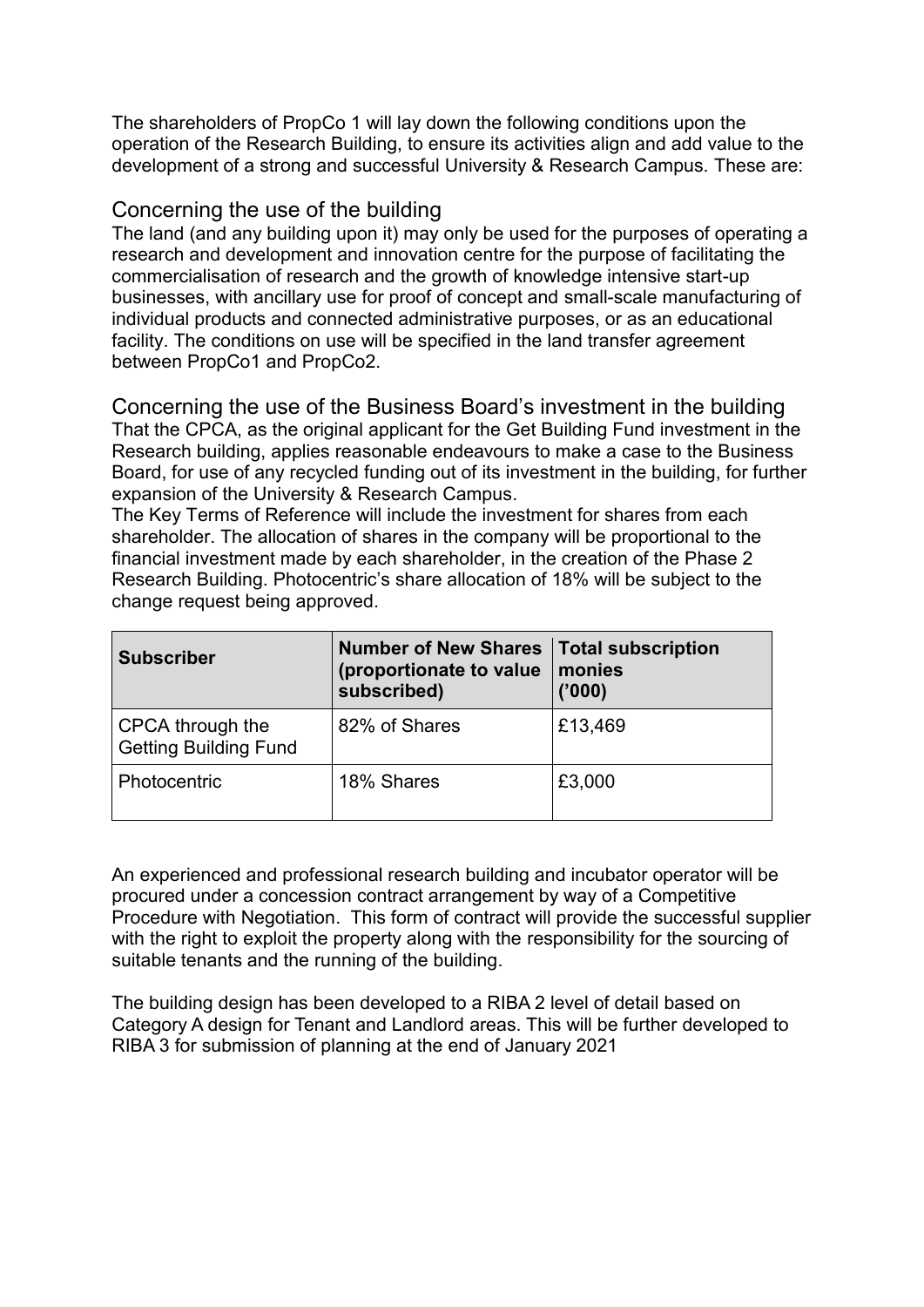The shareholders of PropCo 1 will lay down the following conditions upon the operation of the Research Building, to ensure its activities align and add value to the development of a strong and successful University & Research Campus. These are:

### Concerning the use of the building

The land (and any building upon it) may only be used for the purposes of operating a research and development and innovation centre for the purpose of facilitating the commercialisation of research and the growth of knowledge intensive start-up businesses, with ancillary use for proof of concept and small-scale manufacturing of individual products and connected administrative purposes, or as an educational facility. The conditions on use will be specified in the land transfer agreement between PropCo1 and PropCo2.

Concerning the use of the Business Board's investment in the building That the CPCA, as the original applicant for the Get Building Fund investment in the Research building, applies reasonable endeavours to make a case to the Business Board, for use of any recycled funding out of its investment in the building, for further expansion of the University & Research Campus.

The Key Terms of Reference will include the investment for shares from each shareholder. The allocation of shares in the company will be proportional to the financial investment made by each shareholder, in the creation of the Phase 2 Research Building. Photocentric's share allocation of 18% will be subject to the change request being approved.

| <b>Subscriber</b>                                | <b>Number of New Shares</b><br>(proportionate to value<br>subscribed) | <b>Total subscription</b><br>monies<br>('000) |
|--------------------------------------------------|-----------------------------------------------------------------------|-----------------------------------------------|
| CPCA through the<br><b>Getting Building Fund</b> | 82% of Shares                                                         | £13,469                                       |
| Photocentric                                     | 18% Shares                                                            | £3,000                                        |

An experienced and professional research building and incubator operator will be procured under a concession contract arrangement by way of a Competitive Procedure with Negotiation. This form of contract will provide the successful supplier with the right to exploit the property along with the responsibility for the sourcing of suitable tenants and the running of the building.

The building design has been developed to a RIBA 2 level of detail based on Category A design for Tenant and Landlord areas. This will be further developed to RIBA 3 for submission of planning at the end of January 2021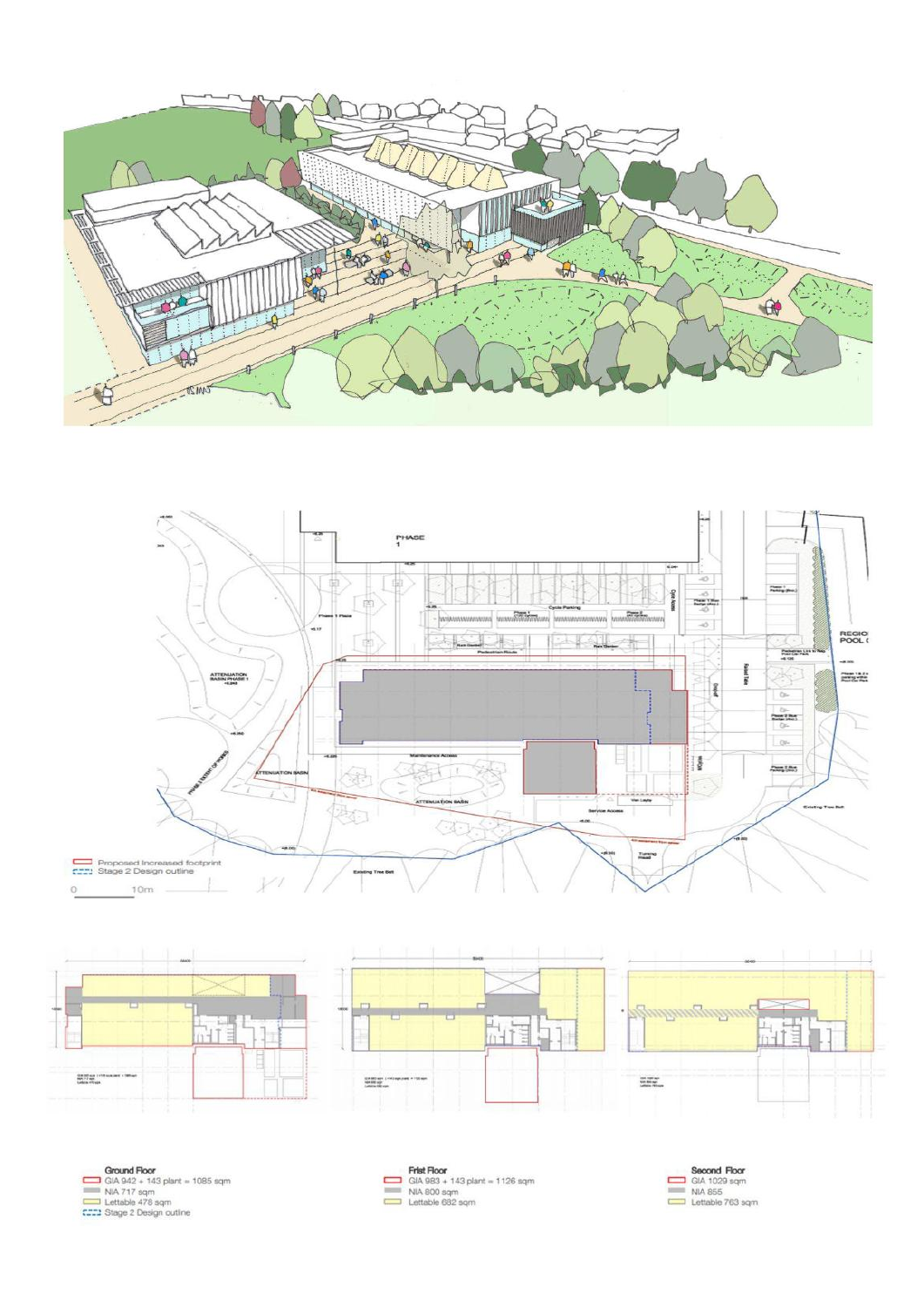









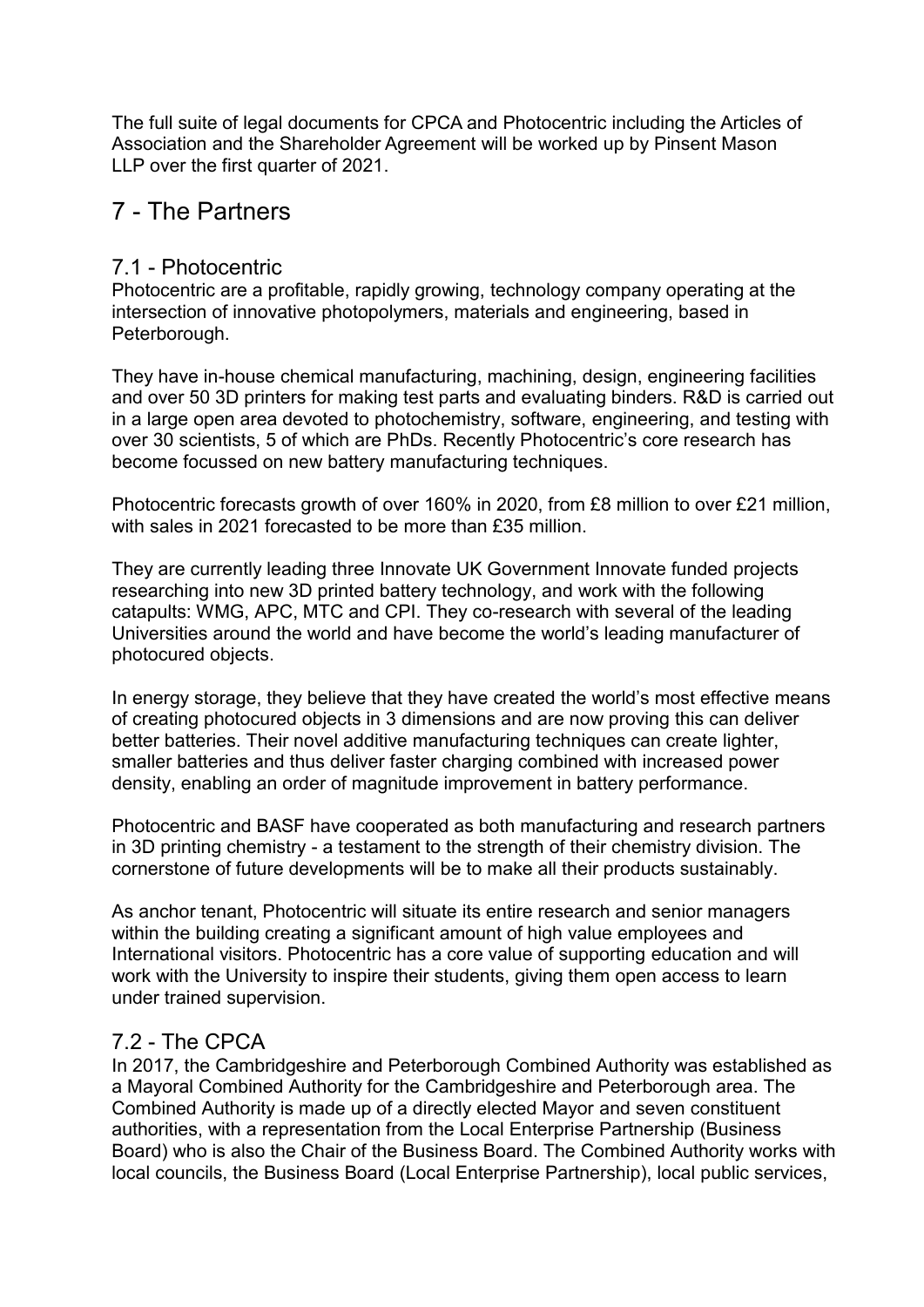The full suite of legal documents for CPCA and Photocentric including the Articles of Association and the Shareholder Agreement will be worked up by Pinsent Mason LLP over the first quarter of 2021.

# 7 - The Partners

### 7.1 - Photocentric

Photocentric are a profitable, rapidly growing, technology company operating at the intersection of innovative photopolymers, materials and engineering, based in Peterborough.

They have in-house chemical manufacturing, machining, design, engineering facilities and over 50 3D printers for making test parts and evaluating binders. R&D is carried out in a large open area devoted to photochemistry, software, engineering, and testing with over 30 scientists, 5 of which are PhDs. Recently Photocentric's core research has become focussed on new battery manufacturing techniques.

Photocentric forecasts growth of over 160% in 2020, from £8 million to over £21 million, with sales in 2021 forecasted to be more than £35 million.

They are currently leading three Innovate UK Government Innovate funded projects researching into new 3D printed battery technology, and work with the following catapults: WMG, APC, MTC and CPI. They co-research with several of the leading Universities around the world and have become the world's leading manufacturer of photocured objects.

In energy storage, they believe that they have created the world's most effective means of creating photocured objects in 3 dimensions and are now proving this can deliver better batteries. Their novel additive manufacturing techniques can create lighter, smaller batteries and thus deliver faster charging combined with increased power density, enabling an order of magnitude improvement in battery performance.

Photocentric and BASF have cooperated as both manufacturing and research partners in 3D printing chemistry - a testament to the strength of their chemistry division. The cornerstone of future developments will be to make all their products sustainably.

As anchor tenant, Photocentric will situate its entire research and senior managers within the building creating a significant amount of high value employees and International visitors. Photocentric has a core value of supporting education and will work with the University to inspire their students, giving them open access to learn under trained supervision.

### 7.2 - The CPCA

In 2017, the Cambridgeshire and Peterborough Combined Authority was established as a Mayoral Combined Authority for the Cambridgeshire and Peterborough area. The Combined Authority is made up of a directly elected Mayor and seven constituent authorities, with a representation from the Local Enterprise Partnership (Business Board) who is also the Chair of the Business Board. The Combined Authority works with local councils, the Business Board (Local Enterprise Partnership), local public services,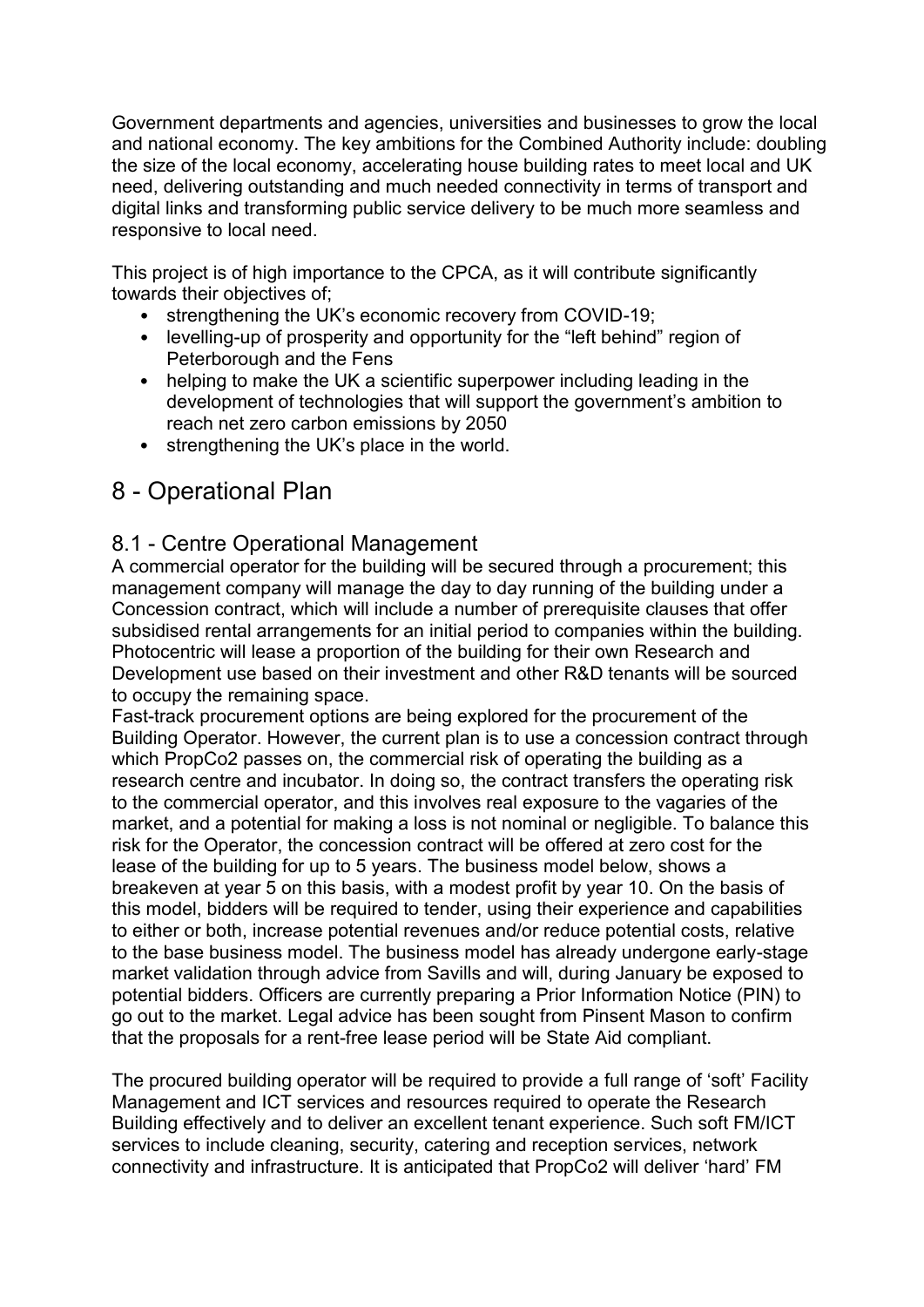Government departments and agencies, universities and businesses to grow the local and national economy. The key ambitions for the Combined Authority include: doubling the size of the local economy, accelerating house building rates to meet local and UK need, delivering outstanding and much needed connectivity in terms of transport and digital links and transforming public service delivery to be much more seamless and responsive to local need.

This project is of high importance to the CPCA, as it will contribute significantly towards their objectives of;

- strengthening the UK's economic recovery from COVID-19;
- levelling-up of prosperity and opportunity for the "left behind" region of Peterborough and the Fens
- helping to make the UK a scientific superpower including leading in the development of technologies that will support the government's ambition to reach net zero carbon emissions by 2050
- strengthening the UK's place in the world.

## 8 - Operational Plan

### 8.1 - Centre Operational Management

A commercial operator for the building will be secured through a procurement; this management company will manage the day to day running of the building under a Concession contract, which will include a number of prerequisite clauses that offer subsidised rental arrangements for an initial period to companies within the building. Photocentric will lease a proportion of the building for their own Research and Development use based on their investment and other R&D tenants will be sourced to occupy the remaining space.

Fast-track procurement options are being explored for the procurement of the Building Operator. However, the current plan is to use a concession contract through which PropCo2 passes on, the commercial risk of operating the building as a research centre and incubator. In doing so, the contract transfers the operating risk to the commercial operator, and this involves real exposure to the vagaries of the market, and a potential for making a loss is not nominal or negligible. To balance this risk for the Operator, the concession contract will be offered at zero cost for the lease of the building for up to 5 years. The business model below, shows a breakeven at year 5 on this basis, with a modest profit by year 10. On the basis of this model, bidders will be required to tender, using their experience and capabilities to either or both, increase potential revenues and/or reduce potential costs, relative to the base business model. The business model has already undergone early-stage market validation through advice from Savills and will, during January be exposed to potential bidders. Officers are currently preparing a Prior Information Notice (PIN) to go out to the market. Legal advice has been sought from Pinsent Mason to confirm that the proposals for a rent-free lease period will be State Aid compliant.

The procured building operator will be required to provide a full range of 'soft' Facility Management and ICT services and resources required to operate the Research Building effectively and to deliver an excellent tenant experience. Such soft FM/ICT services to include cleaning, security, catering and reception services, network connectivity and infrastructure. It is anticipated that PropCo2 will deliver 'hard' FM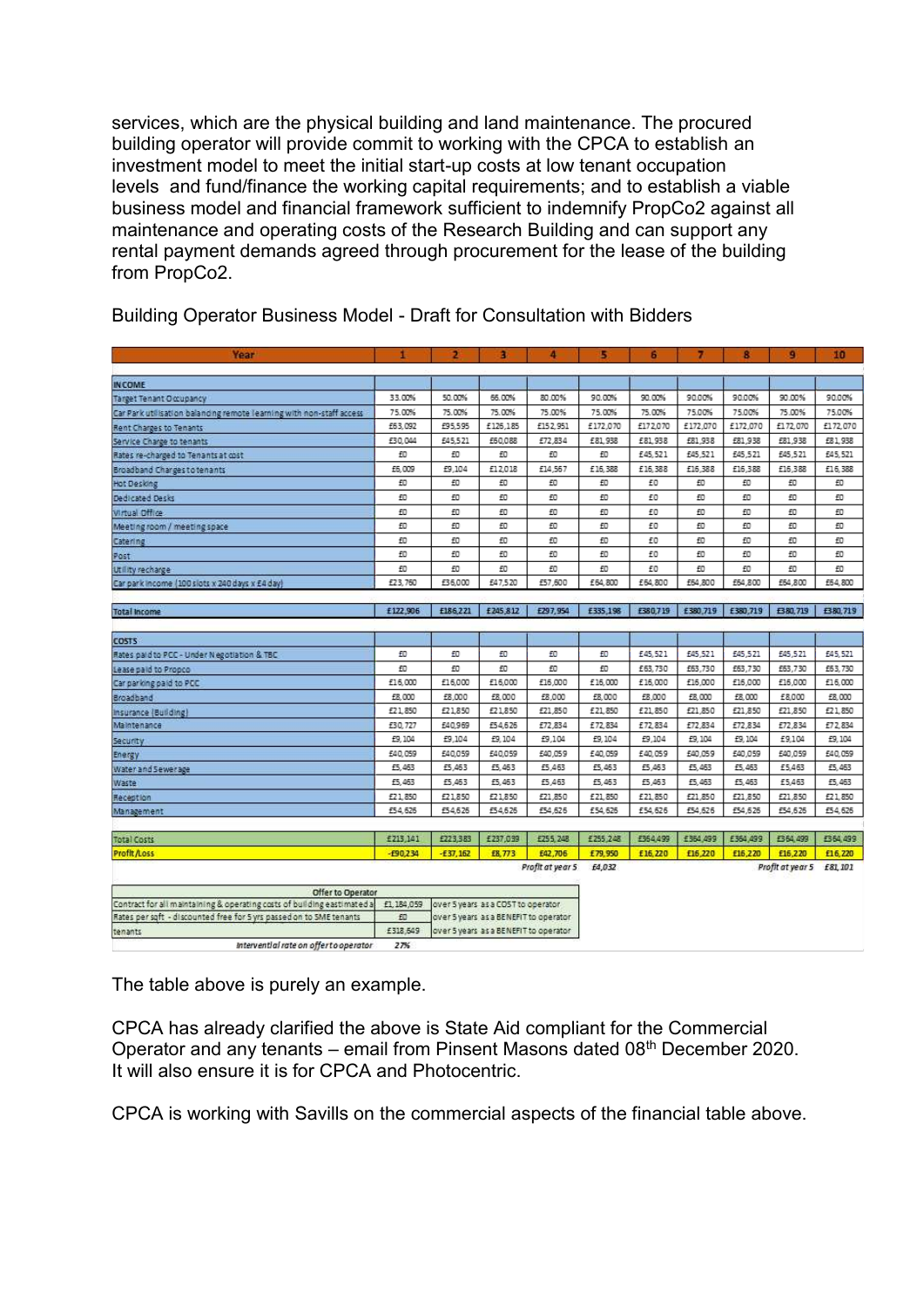services, which are the physical building and land maintenance. The procured building operator will provide commit to working with the CPCA to establish an investment model to meet the initial start-up costs at low tenant occupation levels and fund/finance the working capital requirements; and to establish a viable business model and financial framework sufficient to indemnify PropCo2 against all maintenance and operating costs of the Research Building and can support any rental payment demands agreed through procurement for the lease of the building from PropCo2.

| Year                                                                 |         |         | я        |          | 5        | 6        |          | 8        | 9        | 10       |
|----------------------------------------------------------------------|---------|---------|----------|----------|----------|----------|----------|----------|----------|----------|
|                                                                      |         |         |          |          |          |          |          |          |          |          |
| <b>IN COME</b>                                                       |         |         |          |          |          |          |          |          |          |          |
| Target Tenant Occupancy                                              | 33.00%  | 50.00%  | 66.00%   | 80.00%   | 90.00%   | 90.00%   | 90.00%   | 90.00%   | 90.00%   | 90.00%   |
| Car Park utilisation balanding remote learning with non-staff access | 75.00%  | 75.00%  | 75.00%   | 75.00%   | 75.00%   | 75.00%   | 75.00%   | 75.00%   | 75.00%   | 75.00%   |
| Rent Charges to Tenants                                              | £63,092 | £95,595 | £126,185 | £152,951 | £172,070 | £172,070 | £172,070 | £172,070 | £172,070 | £172,070 |
| Service Charge to tenants                                            | £30,044 | £45,521 | £50,088  | £72,834  | £81,938  | £81,938  | £81,938  | £81,938  | £81,938  | £81,938  |
| Rates re-charged to Tenants at cost                                  | £0      | £Ū      | £Ū       | £Ū       | £Ū       | £45,521  | £45,521  | £45,521  | £45,521  | £45,521  |
| Broadband Charges to tenants                                         | £6,009  | £9,104  | £12,018  | £14,567  | £16,388  | £16,388  | £16,388  | £16,388  | £16,388  | £16,388  |
| Hot Desking                                                          | £O      | £O      | £Ū       | £0       | £O       | £O       | £O       | £Ū       | £Ū       | £0       |
| Dedicated Desks                                                      | £O      | £Ū      | £Ū       | £0       | £0       | £0       | £O       | £O       | £Ū       | £0       |
| Virtual Office                                                       | £0      | £D      | £Ū       | £Ū       | £0       | £O       | £O       | £Ū       | £Ū       | £Ū       |
| Meeting room / meeting space                                         | £O      | £0      | £O       | £O       | £D       | £O       | £0       | £Ū       | £0       | £Ū       |
| Catering                                                             | £O      | £Ū      | £Ū       | £0       | £O       | £O       | £O       | £Ū       | £Ū       | £0       |
| Post                                                                 | £O      | £Ū      | £Ū       | £0       | £Ū       | £0       | £Ū       | £Ū       | £0       | £Ū       |
| Utility recharge                                                     | £0      | £D      | £O       | £0       | £D       | £0       | £O       | £O       | £0       | £Ū       |
| Car park income (100 slots x 240 days x £4 day)                      | £23,760 | £36,000 | £47,520  | £57,600  | £54,800  | £54,800  | £54,800  | £54,800  | £54,800  | £54,800  |

Building Operator Business Model - Draft for Consultation with Bidders

| <b>Total Income</b>                         | £122,906 | £186,221       | £245.812      | £297,954       | £335,198         | E380,719       | £380,719       | £380,719       | £380,719       | £380,719        |
|---------------------------------------------|----------|----------------|---------------|----------------|------------------|----------------|----------------|----------------|----------------|-----------------|
|                                             |          |                |               |                |                  |                |                |                |                |                 |
| <b>COSTS</b>                                |          |                |               |                |                  |                |                |                |                |                 |
| Rates paid to PCC - Under Negotiation & TBC | £O       | £0             | £0            | £0             | £0               | £45,521        | £45,521        | £45,521        | £45,521        | £45,521         |
| Lease paid to Propco.                       | £O       | £0             | £0            | £0             | £D               | £63,730        | £63,730        | £63,730        | £63,730        | £53,730         |
| Car parking paid to PCC                     | £16,000  | £16,000        | £16,000       | £16,000        | £16,000          | £16,000        | £16,000        | £16,000        | £16,000        | £16,000         |
| Broadband                                   | £8,000   | £8,000         | £8,000        | £8,000         | £8,000           | £8,000         | £8,000         | £8,000         | £8,000         | £8,000          |
| Insurance (Building)                        | £21,850  | £21.850        | £21,850       | £21,850        | £21,850          | £21,850        | £21,850        | £21,850        | £21,850        | £21,850         |
| Maintenance                                 | £30,727  | £40.969        | £54,626       | £72,834        | £72,834          | £72,834        | £72,834        | £72,834        | £72,834        | £72,834         |
| Security                                    | £9,104   | £9,104         | £9,104        | £9,104         | £9,104           | £9,104         | £9,104         | £9,104         | £9,104         | £9,104          |
| Energy                                      | £40,059  | £40,059        | £40,059       | £40,059        | £40,059          | £40,059        | £40,059        | £40,059        | £40,059        | £40,059         |
| Water and Sewerage                          | £5,463   | £5,463         | £5,463        | £5,463         | £5,463           | £5,463         | £5,463         | £5,463         | £5,463         | £5,463          |
| Waste                                       | £5,463   | £5,463         | £5,463        | £5,463         | £5,463           | £5,463         | £5,463         | £5,463         | £5,463         | £5,463          |
| Reception                                   | £21,850  | £21,850        | £21,850       | £21,850        | £21,850          | £21,850        | £21,850        | £21,850        | £21,850        | £21,850         |
| Management                                  | £54,626  | £54,626        | £54,626       | £54,626        | £54,626          | £54,626        | £54,626        | £54,626        | £54,626        | £54,626         |
|                                             |          |                |               |                |                  |                |                |                |                |                 |
| Total Costs                                 | £213,141 | £223,383       | £237.039      | £255, 248      | £255,248         | £354,499       | £354,499       | E354,499       | EB 64, 499     | £364,499        |
| Deadly Block                                | 200.324  | <b>EDT 151</b> | <b>CU 773</b> | <b>CAS SHE</b> | <b>EMIL OCO.</b> | <b>E16 110</b> | <b>ETC 338</b> | <b>P10 335</b> | <b>212.735</b> | <b>ET E 730</b> |

Profit at year 5 £4,032

Profit at year 5 E81, 101

| Offer to Operator                                                                                                      |          |                                        |
|------------------------------------------------------------------------------------------------------------------------|----------|----------------------------------------|
| Contract for all maintaining & operating costs of building eastimated a £1,184,059  over 5 years as a COST to operator |          |                                        |
| Rates per soft - discounted free for 5 yrs passed on to SME tenants                                                    |          | lover 5 years as a BENEFIT to operator |
| tenants                                                                                                                | £318,549 | over 5 years as a BENEFIT to operator  |
| Intervential rate on offer to operator                                                                                 | 27%      |                                        |

The table above is purely an example.

CPCA has already clarified the above is State Aid compliant for the Commercial Operator and any tenants – email from Pinsent Masons dated 08th December 2020. It will also ensure it is for CPCA and Photocentric.

CPCA is working with Savills on the commercial aspects of the financial table above.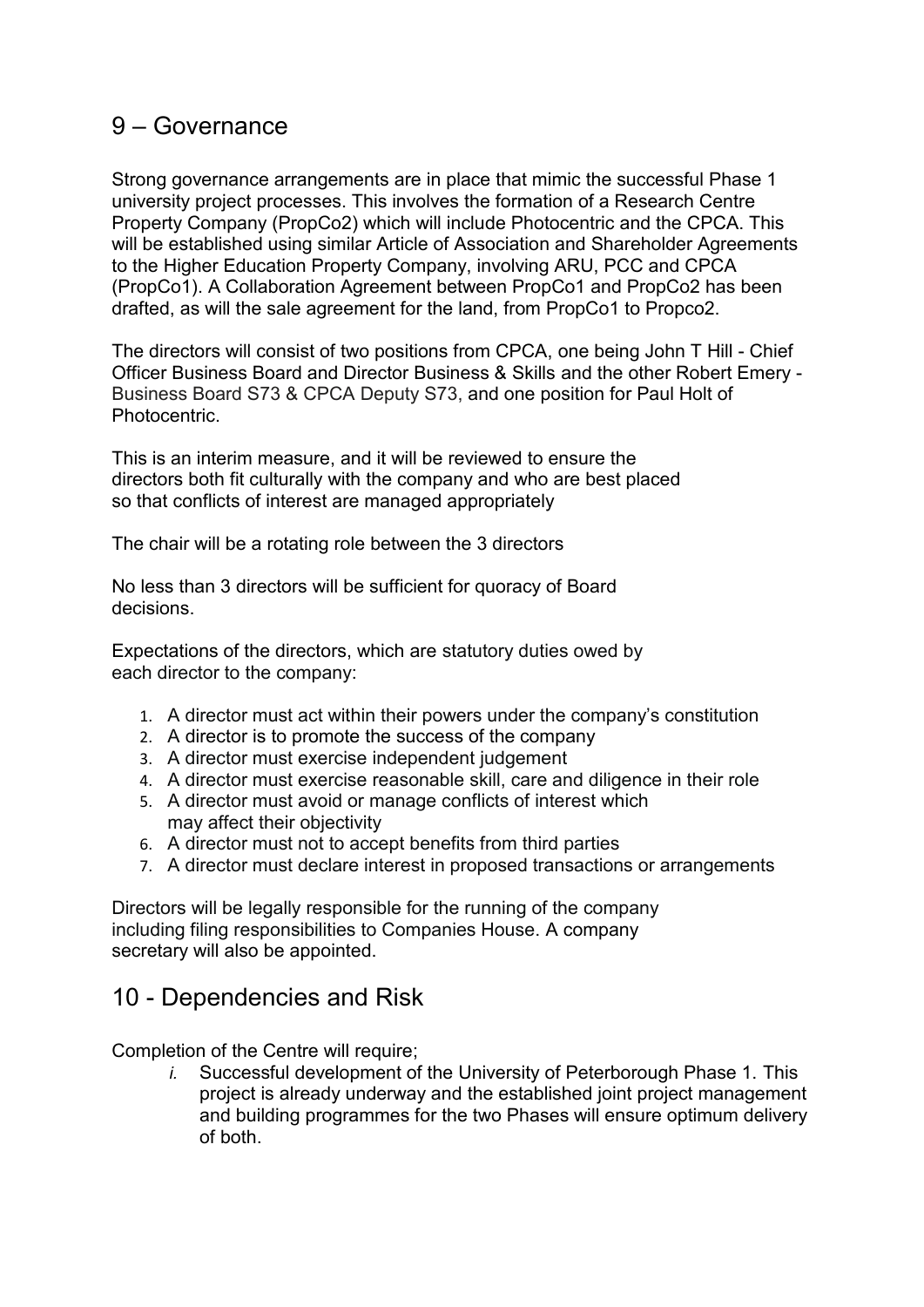### 9 – Governance

Strong governance arrangements are in place that mimic the successful Phase 1 university project processes. This involves the formation of a Research Centre Property Company (PropCo2) which will include Photocentric and the CPCA. This will be established using similar Article of Association and Shareholder Agreements to the Higher Education Property Company, involving ARU, PCC and CPCA (PropCo1). A Collaboration Agreement between PropCo1 and PropCo2 has been drafted, as will the sale agreement for the land, from PropCo1 to Propco2.

The directors will consist of two positions from CPCA, one being John T Hill - Chief Officer Business Board and Director Business & Skills and the other Robert Emery - Business Board S73 & CPCA Deputy S73, and one position for Paul Holt of Photocentric.

This is an interim measure, and it will be reviewed to ensure the directors both fit culturally with the company and who are best placed so that conflicts of interest are managed appropriately

The chair will be a rotating role between the 3 directors

No less than 3 directors will be sufficient for quoracy of Board decisions.

Expectations of the directors, which are statutory duties owed by each director to the company:

- 1. A director must act within their powers under the company's constitution
- 2. A director is to promote the success of the company
- 3. A director must exercise independent judgement
- 4. A director must exercise reasonable skill, care and diligence in their role
- 5. A director must avoid or manage conflicts of interest which may affect their objectivity
- 6. A director must not to accept benefits from third parties
- 7. A director must declare interest in proposed transactions or arrangements

Directors will be legally responsible for the running of the company including filing responsibilities to Companies House. A company secretary will also be appointed.

### 10 - Dependencies and Risk

Completion of the Centre will require;

*i.* Successful development of the University of Peterborough Phase 1. This project is already underway and the established joint project management and building programmes for the two Phases will ensure optimum delivery of both.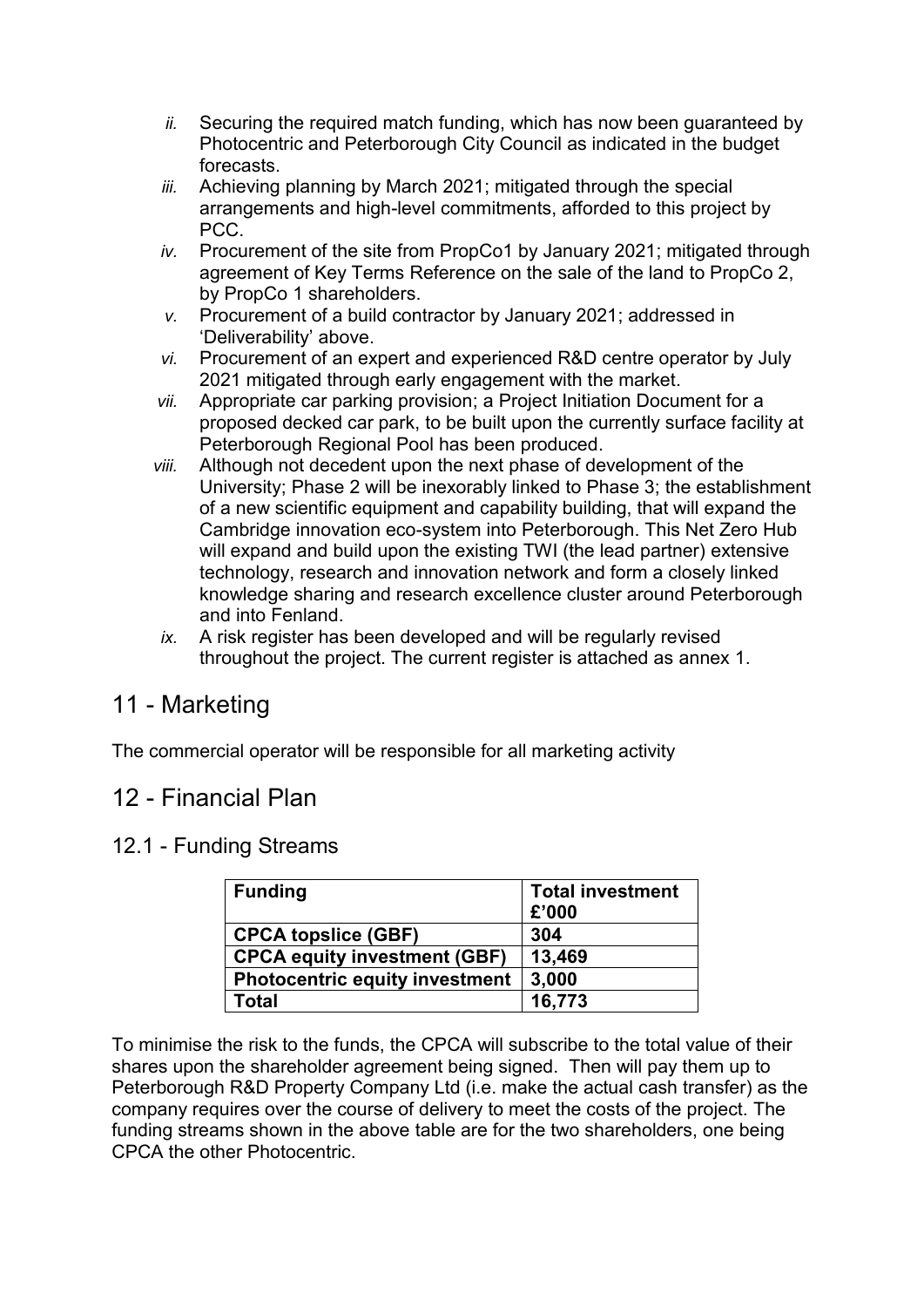- *ii.* Securing the required match funding, which has now been guaranteed by Photocentric and Peterborough City Council as indicated in the budget forecasts.
- *iii.* Achieving planning by March 2021; mitigated through the special arrangements and high-level commitments, afforded to this project by PCC.
- *iv.* Procurement of the site from PropCo1 by January 2021; mitigated through agreement of Key Terms Reference on the sale of the land to PropCo 2, by PropCo 1 shareholders.
- *v.* Procurement of a build contractor by January 2021; addressed in 'Deliverability' above.
- *vi.* Procurement of an expert and experienced R&D centre operator by July 2021 mitigated through early engagement with the market.
- *vii.* Appropriate car parking provision; a Project Initiation Document for a proposed decked car park, to be built upon the currently surface facility at Peterborough Regional Pool has been produced.
- *viii.* Although not decedent upon the next phase of development of the University; Phase 2 will be inexorably linked to Phase 3; the establishment of a new scientific equipment and capability building, that will expand the Cambridge innovation eco-system into Peterborough. This Net Zero Hub will expand and build upon the existing TWI (the lead partner) extensive technology, research and innovation network and form a closely linked knowledge sharing and research excellence cluster around Peterborough and into Fenland.
- *ix.* A risk register has been developed and will be regularly revised throughout the project. The current register is attached as annex 1.

# 11 - Marketing

The commercial operator will be responsible for all marketing activity

# 12 - Financial Plan

### 12.1 - Funding Streams

| <b>Funding</b>                        | <b>Total investment</b><br>£'000 |
|---------------------------------------|----------------------------------|
| <b>CPCA topslice (GBF)</b>            | 304                              |
| <b>CPCA equity investment (GBF)</b>   | 13,469                           |
| <b>Photocentric equity investment</b> | 3,000                            |
| Total                                 | 16,773                           |

To minimise the risk to the funds, the CPCA will subscribe to the total value of their shares upon the shareholder agreement being signed. Then will pay them up to Peterborough R&D Property Company Ltd (i.e. make the actual cash transfer) as the company requires over the course of delivery to meet the costs of the project. The funding streams shown in the above table are for the two shareholders, one being CPCA the other Photocentric.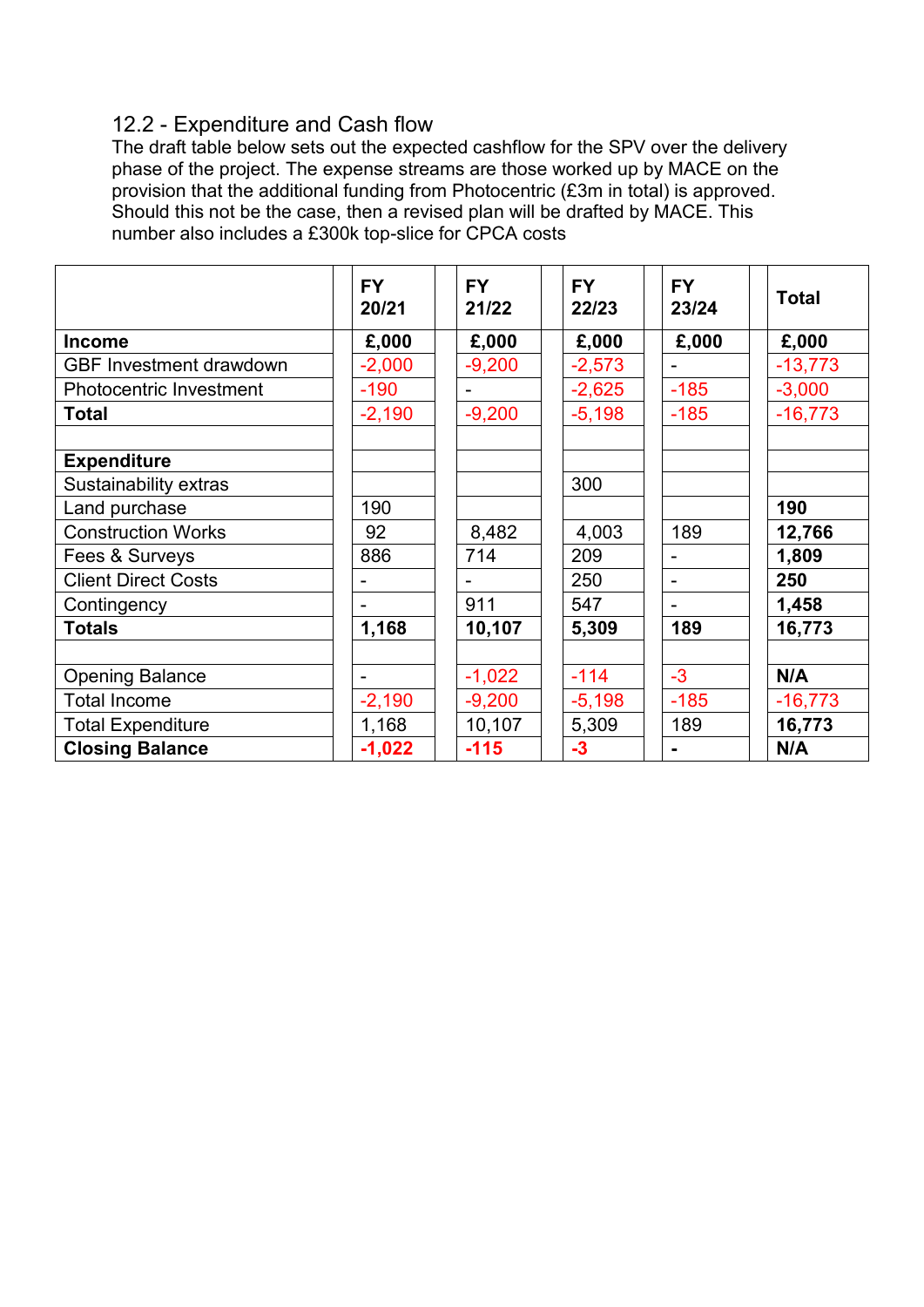### 12.2 - Expenditure and Cash flow

The draft table below sets out the expected cashflow for the SPV over the delivery phase of the project. The expense streams are those worked up by MACE on the provision that the additional funding from Photocentric (£3m in total) is approved. Should this not be the case, then a revised plan will be drafted by MACE. This number also includes a £300k top-slice for CPCA costs

|                                             | <b>FY</b><br>20/21 | <b>FY</b><br>21/22 | <b>FY</b><br>22/23 | <b>FY</b><br>23/24 | <b>Total</b> |
|---------------------------------------------|--------------------|--------------------|--------------------|--------------------|--------------|
| <b>Income</b>                               | £,000              | £,000              | £,000              | £,000              | £,000        |
| <b>GBF Investment drawdown</b>              | $-2,000$           | $-9,200$           | $-2,573$           |                    | $-13,773$    |
| <b>Photocentric Investment</b>              | $-190$             |                    | $-2,625$           | $-185$             | $-3,000$     |
| <b>Total</b>                                | $-2,190$           | $-9,200$           | $-5,198$           | $-185$             | $-16,773$    |
| <b>Expenditure</b><br>Sustainability extras |                    |                    | 300                |                    |              |
| Land purchase                               | 190                |                    |                    |                    | 190          |
| <b>Construction Works</b>                   | 92                 | 8,482              | 4,003              | 189                | 12,766       |
| Fees & Surveys                              | 886                | 714                | 209                |                    | 1,809        |
| <b>Client Direct Costs</b>                  |                    |                    | 250                |                    | 250          |
| Contingency                                 |                    | 911                | 547                |                    | 1,458        |
| <b>Totals</b>                               | 1,168              | 10,107             | 5,309              | 189                | 16,773       |
|                                             |                    |                    |                    |                    |              |
| <b>Opening Balance</b>                      |                    | $-1,022$           | $-114$             | $-3$               | N/A          |
| <b>Total Income</b>                         | $-2,190$           | $-9,200$           | $-5,198$           | $-185$             | $-16,773$    |
| <b>Total Expenditure</b>                    | 1,168              | 10,107             | 5,309              | 189                | 16,773       |
| <b>Closing Balance</b>                      | $-1,022$           | $-115$             | $-3$               |                    | N/A          |